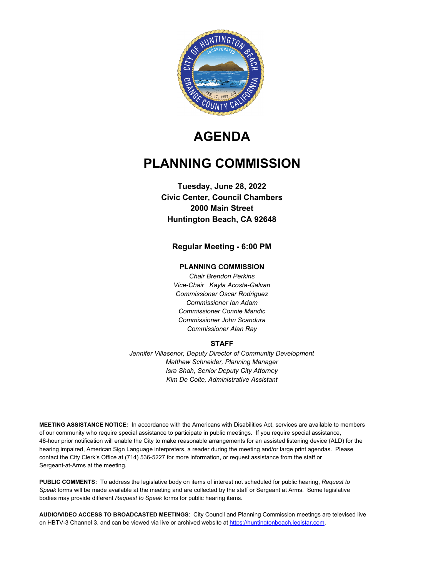

# **AGENDA**

## **PLANNING COMMISSION**

## **Tuesday, June 28, 2022 Civic Center, Council Chambers 2000 Main Street Huntington Beach, CA 92648**

## **Regular Meeting - 6:00 PM**

#### **PLANNING COMMISSION**

*Chair Brendon Perkins Vice-Chair Kayla Acosta-Galvan Commissioner Oscar Rodriguez Commissioner Ian Adam Commissioner Connie Mandic Commissioner John Scandura Commissioner Alan Ray*

#### **STAFF**

*Jennifer Villasenor, Deputy Director of Community Development Matthew Schneider, Planning Manager Isra Shah, Senior Deputy City Attorney Kim De Coite, Administrative Assistant*

**MEETING ASSISTANCE NOTICE***:* In accordance with the Americans with Disabilities Act, services are available to members of our community who require special assistance to participate in public meetings. If you require special assistance, 48-hour prior notification will enable the City to make reasonable arrangements for an assisted listening device (ALD) for the hearing impaired, American Sign Language interpreters, a reader during the meeting and/or large print agendas. Please contact the City Clerk's Office at (714) 536-5227 for more information, or request assistance from the staff or Sergeant-at-Arms at the meeting.

**PUBLIC COMMENTS:** To address the legislative body on items of interest not scheduled for public hearing, *Request to Speak* forms will be made available at the meeting and are collected by the staff or Sergeant at Arms. Some legislative bodies may provide different *Request to Speak* forms for public hearing items.

**AUDIO/VIDEO ACCESS TO BROADCASTED MEETINGS**: City Council and Planning Commission meetings are televised live on HBTV-3 Channel 3, and can be viewed via live or archived website at https://huntingtonbeach.legistar.com.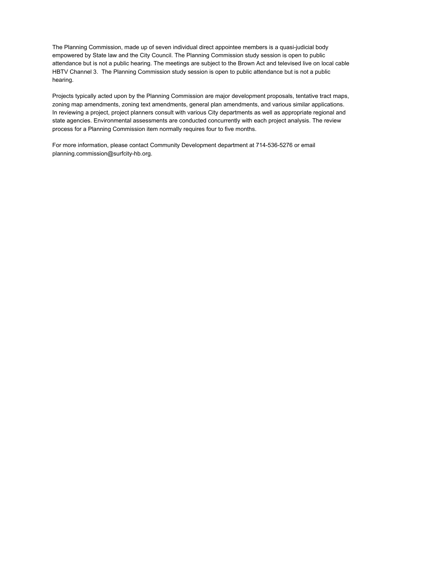The Planning Commission, made up of seven individual direct appointee members is a quasi-judicial body empowered by State law and the City Council. The Planning Commission study session is open to public attendance but is not a public hearing. The meetings are subject to the Brown Act and televised live on local cable HBTV Channel 3. The Planning Commission study session is open to public attendance but is not a public hearing.

Projects typically acted upon by the Planning Commission are major development proposals, tentative tract maps, zoning map amendments, zoning text amendments, general plan amendments, and various similar applications. In reviewing a project, project planners consult with various City departments as well as appropriate regional and state agencies. Environmental assessments are conducted concurrently with each project analysis. The review process for a Planning Commission item normally requires four to five months.

For more information, please contact Community Development department at 714-536-5276 or email planning.commission@surfcity-hb.org.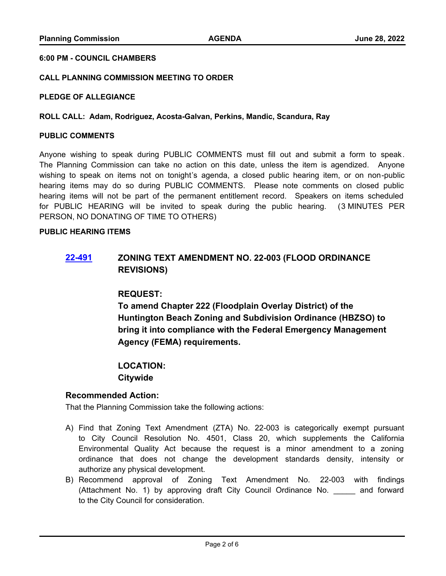#### **6:00 PM - COUNCIL CHAMBERS**

#### **CALL PLANNING COMMISSION MEETING TO ORDER**

#### **PLEDGE OF ALLEGIANCE**

#### **ROLL CALL: Adam, Rodriguez, Acosta-Galvan, Perkins, Mandic, Scandura, Ray**

#### **PUBLIC COMMENTS**

Anyone wishing to speak during PUBLIC COMMENTS must fill out and submit a form to speak. The Planning Commission can take no action on this date, unless the item is agendized. Anyone wishing to speak on items not on tonight's agenda, a closed public hearing item, or on non-public hearing items may do so during PUBLIC COMMENTS. Please note comments on closed public hearing items will not be part of the permanent entitlement record. Speakers on items scheduled for PUBLIC HEARING will be invited to speak during the public hearing. (3 MINUTES PER PERSON, NO DONATING OF TIME TO OTHERS)

#### **PUBLIC HEARING ITEMS**

## **[22-491](http://huntingtonbeach.legistar.com/gateway.aspx?m=l&id=/matter.aspx?key=5603) ZONING TEXT AMENDMENT NO. 22-003 (FLOOD ORDINANCE REVISIONS)**

## **REQUEST:**

**To amend Chapter 222 (Floodplain Overlay District) of the Huntington Beach Zoning and Subdivision Ordinance (HBZSO) to bring it into compliance with the Federal Emergency Management Agency (FEMA) requirements.**

## **LOCATION: Citywide**

#### **Recommended Action:**

That the Planning Commission take the following actions:

- A) Find that Zoning Text Amendment (ZTA) No. 22-003 is categorically exempt pursuant to City Council Resolution No. 4501, Class 20, which supplements the California Environmental Quality Act because the request is a minor amendment to a zoning ordinance that does not change the development standards density, intensity or authorize any physical development.
- B) Recommend approval of Zoning Text Amendment No. 22-003 with findings (Attachment No. 1) by approving draft City Council Ordinance No. \_\_\_\_\_ and forward to the City Council for consideration.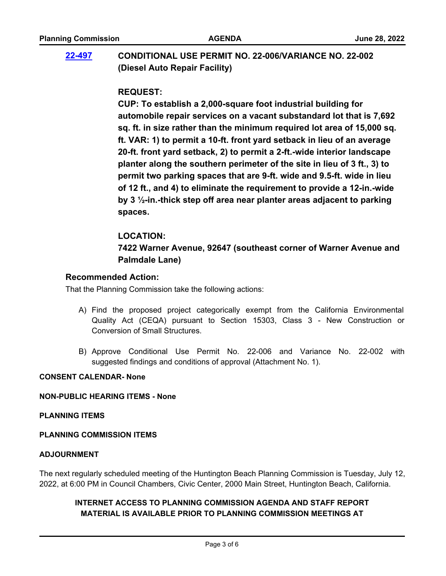## **[22-497](http://huntingtonbeach.legistar.com/gateway.aspx?m=l&id=/matter.aspx?key=5609) CONDITIONAL USE PERMIT NO. 22-006/VARIANCE NO. 22-002 (Diesel Auto Repair Facility)**

## **REQUEST:**

**CUP: To establish a 2,000-square foot industrial building for automobile repair services on a vacant substandard lot that is 7,692 sq. ft. in size rather than the minimum required lot area of 15,000 sq. ft. VAR: 1) to permit a 10-ft. front yard setback in lieu of an average 20-ft. front yard setback, 2) to permit a 2-ft.-wide interior landscape planter along the southern perimeter of the site in lieu of 3 ft., 3) to permit two parking spaces that are 9-ft. wide and 9.5-ft. wide in lieu of 12 ft., and 4) to eliminate the requirement to provide a 12-in.-wide by 3 ½-in.-thick step off area near planter areas adjacent to parking spaces.**

## **LOCATION:**

**7422 Warner Avenue, 92647 (southeast corner of Warner Avenue and Palmdale Lane)**

## **Recommended Action:**

That the Planning Commission take the following actions:

- A) Find the proposed project categorically exempt from the California Environmental Quality Act (CEQA) pursuant to Section 15303, Class 3 - New Construction or Conversion of Small Structures.
- B) Approve Conditional Use Permit No. 22-006 and Variance No. 22-002 with suggested findings and conditions of approval (Attachment No. 1).

### **CONSENT CALENDAR- None**

#### **NON-PUBLIC HEARING ITEMS - None**

#### **PLANNING ITEMS**

## **PLANNING COMMISSION ITEMS**

#### **ADJOURNMENT**

The next regularly scheduled meeting of the Huntington Beach Planning Commission is Tuesday, July 12, 2022, at 6:00 PM in Council Chambers, Civic Center, 2000 Main Street, Huntington Beach, California.

## **INTERNET ACCESS TO PLANNING COMMISSION AGENDA AND STAFF REPORT MATERIAL IS AVAILABLE PRIOR TO PLANNING COMMISSION MEETINGS AT**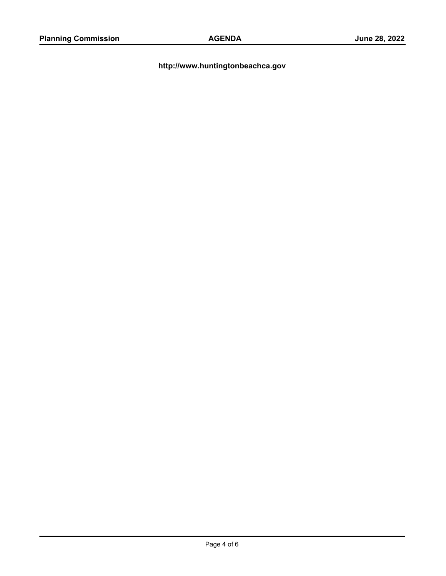**http://www.huntingtonbeachca.gov**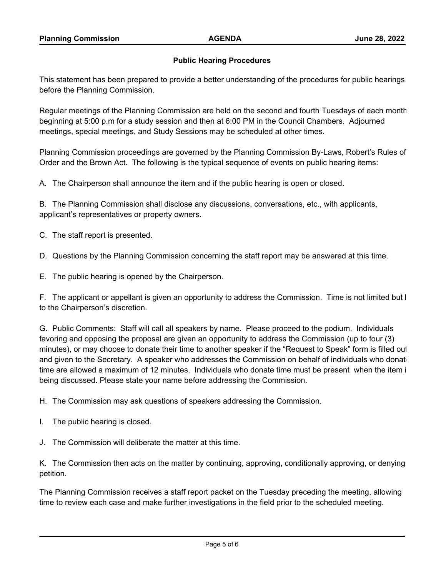### **Public Hearing Procedures**

This statement has been prepared to provide a better understanding of the procedures for public hearings before the Planning Commission.

Regular meetings of the Planning Commission are held on the second and fourth Tuesdays of each month beginning at 5:00 p.m for a study session and then at 6:00 PM in the Council Chambers. Adjourned meetings, special meetings, and Study Sessions may be scheduled at other times.

Planning Commission proceedings are governed by the Planning Commission By-Laws, Robert's Rules of Order and the Brown Act. The following is the typical sequence of events on public hearing items:

A. The Chairperson shall announce the item and if the public hearing is open or closed.

B. The Planning Commission shall disclose any discussions, conversations, etc., with applicants, applicant's representatives or property owners.

C. The staff report is presented.

D. Questions by the Planning Commission concerning the staff report may be answered at this time.

E. The public hearing is opened by the Chairperson.

F. The applicant or appellant is given an opportunity to address the Commission. Time is not limited but  $l$ to the Chairperson's discretion.

G. Public Comments: Staff will call all speakers by name. Please proceed to the podium. Individuals favoring and opposing the proposal are given an opportunity to address the Commission (up to four (3) minutes), or may choose to donate their time to another speaker if the "Request to Speak" form is filled out and given to the Secretary. A speaker who addresses the Commission on behalf of individuals who donate time are allowed a maximum of 12 minutes. Individuals who donate time must be present when the item i being discussed. Please state your name before addressing the Commission.

H. The Commission may ask questions of speakers addressing the Commission.

I. The public hearing is closed.

J. The Commission will deliberate the matter at this time.

K. The Commission then acts on the matter by continuing, approving, conditionally approving, or denying petition.

The Planning Commission receives a staff report packet on the Tuesday preceding the meeting, allowing time to review each case and make further investigations in the field prior to the scheduled meeting.